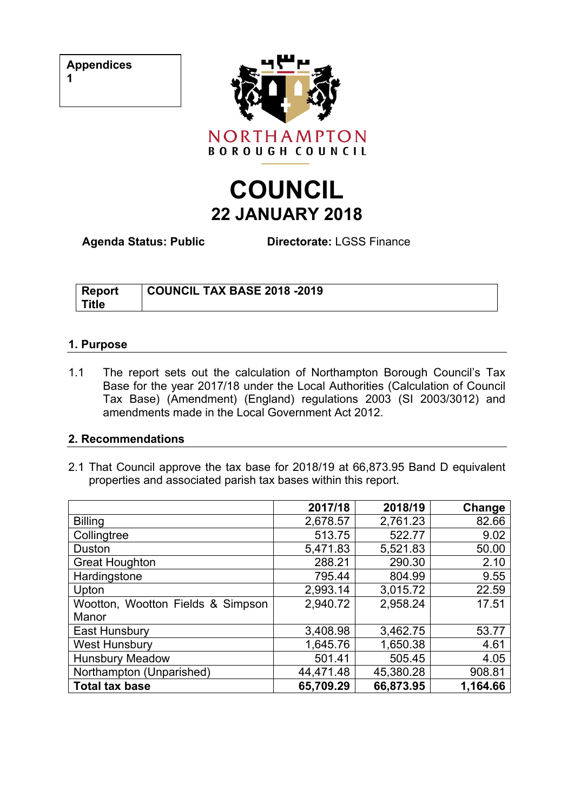**Appendices**

**1**



# **COUNCIL 22 JANUARY 2018**

**Agenda Status: Public Directorate:** LGSS Finance

| <b>Report</b> | <b>COUNCIL TAX BASE 2018 -2019</b> |
|---------------|------------------------------------|
| <b>Title</b>  |                                    |

## **1. Purpose**

1.1 The report sets out the calculation of Northampton Borough Council's Tax Base for the year 2017/18 under the Local Authorities (Calculation of Council Tax Base) (Amendment) (England) regulations 2003 (SI 2003/3012) and amendments made in the Local Government Act 2012.

#### **2. Recommendations**

2.1 That Council approve the tax base for 2018/19 at 66,873.95 Band D equivalent properties and associated parish tax bases within this report.

|                                   | 2017/18   | 2018/19   | Change   |
|-----------------------------------|-----------|-----------|----------|
| <b>Billing</b>                    | 2,678.57  | 2,761.23  | 82.66    |
| Collingtree                       | 513.75    | 522.77    | 9.02     |
| Duston                            | 5,471.83  | 5,521.83  | 50.00    |
| <b>Great Houghton</b>             | 288.21    | 290.30    | 2.10     |
| Hardingstone                      | 795.44    | 804.99    | 9.55     |
| Upton                             | 2,993.14  | 3,015.72  | 22.59    |
| Wootton, Wootton Fields & Simpson | 2,940.72  | 2,958.24  | 17.51    |
| Manor                             |           |           |          |
| East Hunsbury                     | 3,408.98  | 3,462.75  | 53.77    |
| <b>West Hunsbury</b>              | 1,645.76  | 1,650.38  | 4.61     |
| Hunsbury Meadow                   | 501.41    | 505.45    | 4.05     |
| Northampton (Unparished)          | 44,471.48 | 45,380.28 | 908.81   |
| <b>Total tax base</b>             | 65,709.29 | 66,873.95 | 1,164.66 |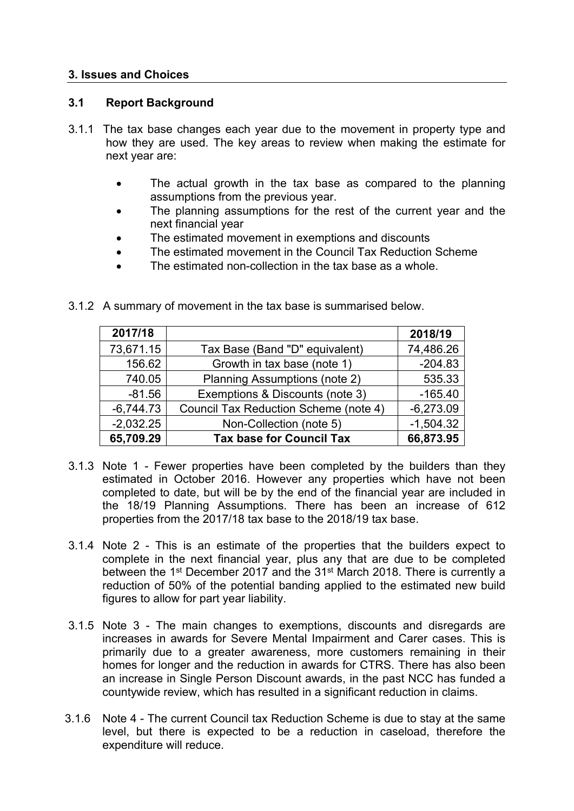#### **3. Issues and Choices**

#### **3.1 Report Background**

- 3.1.1 The tax base changes each year due to the movement in property type and how they are used. The key areas to review when making the estimate for next year are:
	- The actual growth in the tax base as compared to the planning assumptions from the previous year.
	- The planning assumptions for the rest of the current year and the next financial year
	- The estimated movement in exemptions and discounts
	- The estimated movement in the Council Tax Reduction Scheme
	- The estimated non-collection in the tax base as a whole.

| 2017/18     |                                       | 2018/19     |
|-------------|---------------------------------------|-------------|
| 73,671.15   | Tax Base (Band "D" equivalent)        | 74,486.26   |
| 156.62      | Growth in tax base (note 1)           | $-204.83$   |
| 740.05      | Planning Assumptions (note 2)         | 535.33      |
| $-81.56$    | Exemptions & Discounts (note 3)       | $-165.40$   |
| $-6,744.73$ | Council Tax Reduction Scheme (note 4) | $-6,273.09$ |
| $-2,032.25$ | Non-Collection (note 5)               | $-1,504.32$ |
| 65,709.29   | <b>Tax base for Council Tax</b>       | 66,873.95   |

3.1.2 A summary of movement in the tax base is summarised below.

- 3.1.3 Note 1 Fewer properties have been completed by the builders than they estimated in October 2016. However any properties which have not been completed to date, but will be by the end of the financial year are included in the 18/19 Planning Assumptions. There has been an increase of 612 properties from the 2017/18 tax base to the 2018/19 tax base.
- 3.1.4 Note 2 This is an estimate of the properties that the builders expect to complete in the next financial year, plus any that are due to be completed between the 1<sup>st</sup> December 2017 and the 31<sup>st</sup> March 2018. There is currently a reduction of 50% of the potential banding applied to the estimated new build figures to allow for part year liability.
- 3.1.5 Note 3 The main changes to exemptions, discounts and disregards are increases in awards for Severe Mental Impairment and Carer cases. This is primarily due to a greater awareness, more customers remaining in their homes for longer and the reduction in awards for CTRS. There has also been an increase in Single Person Discount awards, in the past NCC has funded a countywide review, which has resulted in a significant reduction in claims.
- 3.1.6 Note 4 The current Council tax Reduction Scheme is due to stay at the same level, but there is expected to be a reduction in caseload, therefore the expenditure will reduce.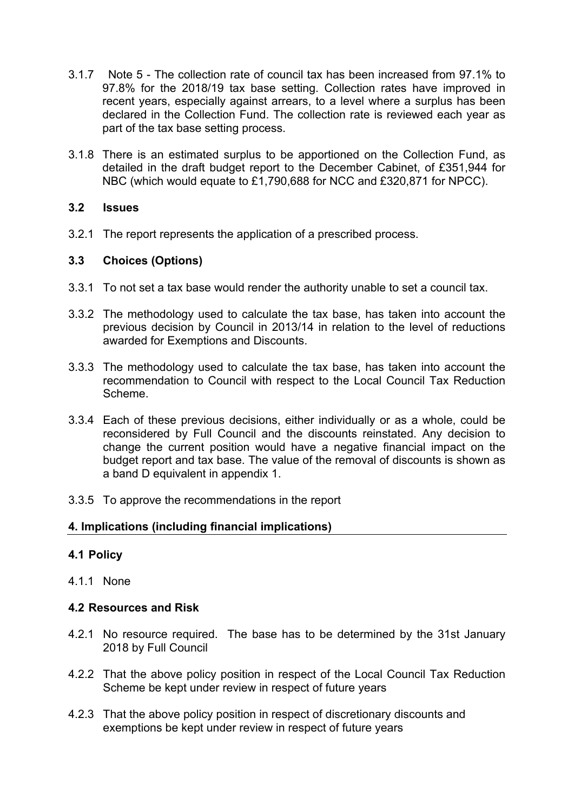- 3.1.7 Note 5 The collection rate of council tax has been increased from 97.1% to 97.8% for the 2018/19 tax base setting. Collection rates have improved in recent years, especially against arrears, to a level where a surplus has been declared in the Collection Fund. The collection rate is reviewed each year as part of the tax base setting process.
- 3.1.8 There is an estimated surplus to be apportioned on the Collection Fund, as detailed in the draft budget report to the December Cabinet, of £351,944 for NBC (which would equate to £1,790,688 for NCC and £320,871 for NPCC).

# **3.2 Issues**

3.2.1 The report represents the application of a prescribed process.

## **3.3 Choices (Options)**

- 3.3.1 To not set a tax base would render the authority unable to set a council tax.
- 3.3.2 The methodology used to calculate the tax base, has taken into account the previous decision by Council in 2013/14 in relation to the level of reductions awarded for Exemptions and Discounts.
- 3.3.3 The methodology used to calculate the tax base, has taken into account the recommendation to Council with respect to the Local Council Tax Reduction Scheme.
- 3.3.4 Each of these previous decisions, either individually or as a whole, could be reconsidered by Full Council and the discounts reinstated. Any decision to change the current position would have a negative financial impact on the budget report and tax base. The value of the removal of discounts is shown as a band D equivalent in appendix 1.
- 3.3.5 To approve the recommendations in the report

#### **4. Implications (including financial implications)**

#### **4.1 Policy**

4.1.1 None

#### **4.2 Resources and Risk**

- 4.2.1 No resource required. The base has to be determined by the 31st January 2018 by Full Council
- 4.2.2 That the above policy position in respect of the Local Council Tax Reduction Scheme be kept under review in respect of future years
- 4.2.3 That the above policy position in respect of discretionary discounts and exemptions be kept under review in respect of future years